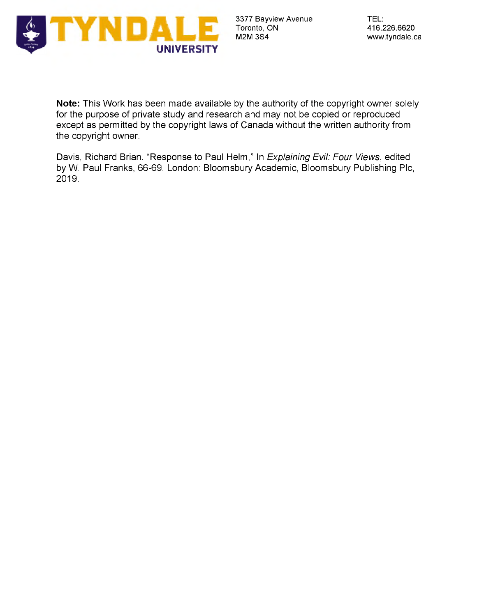

**Note:** This Work has been made available by the authority of the copyright owner solely for the purpose of private study and research and may not be copied or reproduced except as permitted by the copyright laws of Canada without the written authority from the copyright owner.

Davis, Richard Brian. "Response to Paul Helm," In *Explaining Evil: Four Views*, edited by W. Paul Franks, 66-69. London: Bloomsbury Academic, Bloomsbury Publishing Plc, 2019.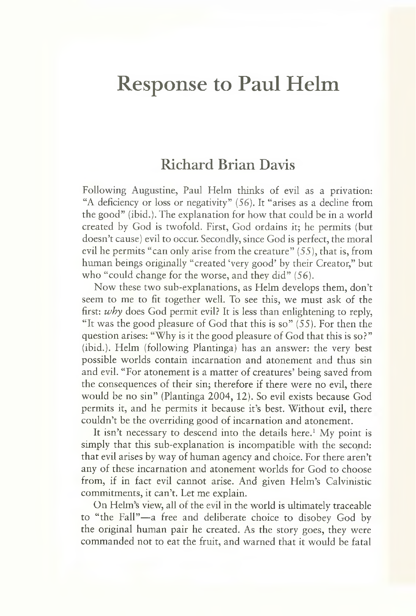## **Response to Paul Helm**

## Richard Brian Davis

Following Augustine, Paul Helm thinks of evil as a privation: "A deficiency or loss or negativity" (56). It "arises as a decline from the good" (ibid.). The explanation for how that could be in a world created by God is twofold. First, God ordains it; he permits (but doesn't cause) evil to occur. Secondly, since God is perfect, the moral evil he permits "can only arise from the creature" (55), that is, from human beings originally "created 'very good' by their Creator," but who "could change for the worse, and they did" (56).

Now these two sub-explanations, as Helm develops them, don't seem to me to fit together well. To see this, we must ask of the first: *why* does God permit evil? It is less than enlightening to reply, "It was the good pleasure of God that this is so" (55). For then the question arises: "Why is it the good pleasure of God that this is so?" (ibid.). Helm (following Plantinga) has an answer: the very best possible worlds contain incarnation and atonement and thus sin and evil. "For atonement is a matter of creatures' being saved from the consequences of their sin; therefore if there were no evil, there would be no sin" (Plantinga 2004, 12). So evil exists because God permits it, and he permits it because it's best. Without evil, there couldn't be the overriding good of incarnation and atonement.

It isn't necessary to descend into the details here.<sup>1</sup> My point is simply that this sub-explanation is incompatible with the second: that evil arises by way of human agency and choice. For there aren't any of these incarnation and atonement worlds for God to choose from, if in fact evil cannot arise. And given Helm's Calvinistic commitments, it can't. Let me explain.

On Helm's view, all of the evil in the world is ultimately traceable to "the Fall"—a free and deliberate choice to disobey God by the original human pair he created. As the story goes, they were commanded not to eat the fruit, and warned that it would be fatal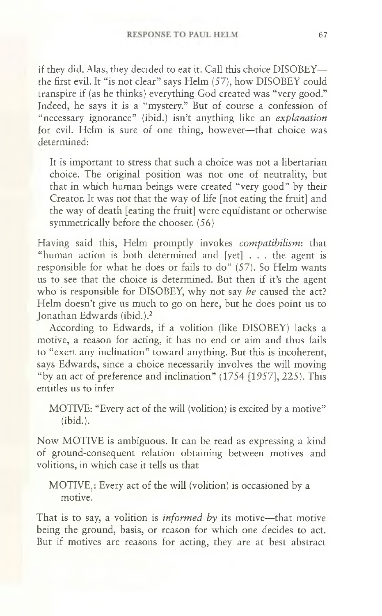if they did. Alas, they decided to eat it. Call this choice DISOBEY the first evil. It "is not clear" says Helm (57), how DISOBEY could transpire if (as he thinks) everything God created was "very good." Indeed, he says it is a "mystery." But of course a confession of "necessary ignorance" (ibid.) isn't anything like an *explanation* for evil. Helm is sure of one thing, however—that choice was determined:

It is important to stress that such a choice was not a libertarian choice. The original position was not one of neutrality, but that in which human beings were created "very good" by their Creator. It was not that the way of life [not eating the fruit] and the way of death [eating the fruit] were equidistant or otherwise symmetrically before the chooser. (56)

Having said this, Helm promptly invokes *compatibilism:* that "human action is both determined and [yet] . . . the agent is responsible for what he does or fails to do" (57). So Helm wants us to see that the choice is determined. But then if it's the agent who is responsible for DISOBEY, why not say *he* caused the act? Helm doesn't give us much to go on here, but he does point us to Jonathan Edwards (ibid.).<sup>2</sup>

According to Edwards, if a volition (like DISOBEY) lacks a motive, a reason for acting, it has no end or aim and thus fails to "exert any inclination" toward anything. But this is incoherent, says Edwards, since a choice necessarily involves the will moving "by an act of preference and inclination" (1754 [1957], 225). This entitles us to infer

MOTIVE: "Every act of the will (volition) is excited by a motive" (ibid.).

Now MOTIVE is ambiguous. It can be read as expressing a kind of ground-consequent relation obtaining between motives and volitions, in which case it tells us that

 $MOTIVE$ <sub>1</sub>: Every act of the will (volition) is occasioned by a motive.

That is to say, a volition is *informed by* its motive—that motive being the ground, basis, or reason for which one decides to act. But if motives are reasons for acting, they are at best abstract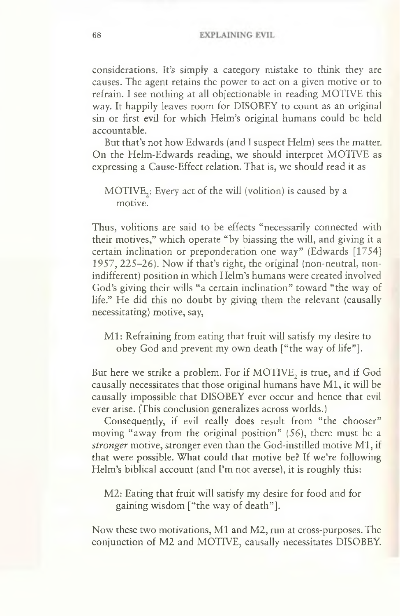## **EXPLAINING EVIL**

considerations. It's simply a category mistake to think they are causes. The agent retains the power to act on a given motive or to refrain. I see nothing at all objectionable in reading MOTIVE this way. It happily leaves room for DISOBEY to count as an original sin or first evil for which Helm's original humans could be held accountable.

But that's not how Edwards (and <sup>1</sup> suspect Helm) sees the matter. On the Helm-Edwards reading, we should interpret MOTIVE as expressing a Cause-Effect relation. That is, we should read it as

MOTIVE<sub>2</sub>: Every act of the will (volition) is caused by a motive.

Thus, volitions are said to be effects "necessarily connected with their motives," which operate "by biassing the will, and giving it a certain inclination or preponderation one way" (Edwards [1754] 1957, 225-26). Now if that'<sup>s</sup> right, the original (non-neutral, nonindifferent) position in which Helm's humans were created involved God's giving their wills "a certain inclination" toward "the way of life." He did this no doubt by giving them the relevant (causally necessitating) motive, say,

Ml: Refraining from eating that fruit will satisfy my desire to obey God and prevent my own death ["the way of life"].

But here we strike a problem. For if MOTIVE, is true, and if God causally necessitates that those original humans have M1, it will be causally impossible that DISOBEY ever occur and hence that evil ever arise. (This conclusion generalizes across worlds.)

Consequently, if evil really does result from "the chooser" moving "away from the original position" (56), there must be a *stronger* motive, stronger even than the God-instilled motive Ml, if that were possible. What could that motive be? If we're following Helm's biblical account (and I'm not averse), it is roughly this:

M2: Eating that fruit will satisfy my desire for food and for gaining wisdom ["the way of death"].

Now these two motivations, M1 and M2, run at cross-purposes. The conjunction of M2 and MOTIVE, causally necessitates DISOBEY.